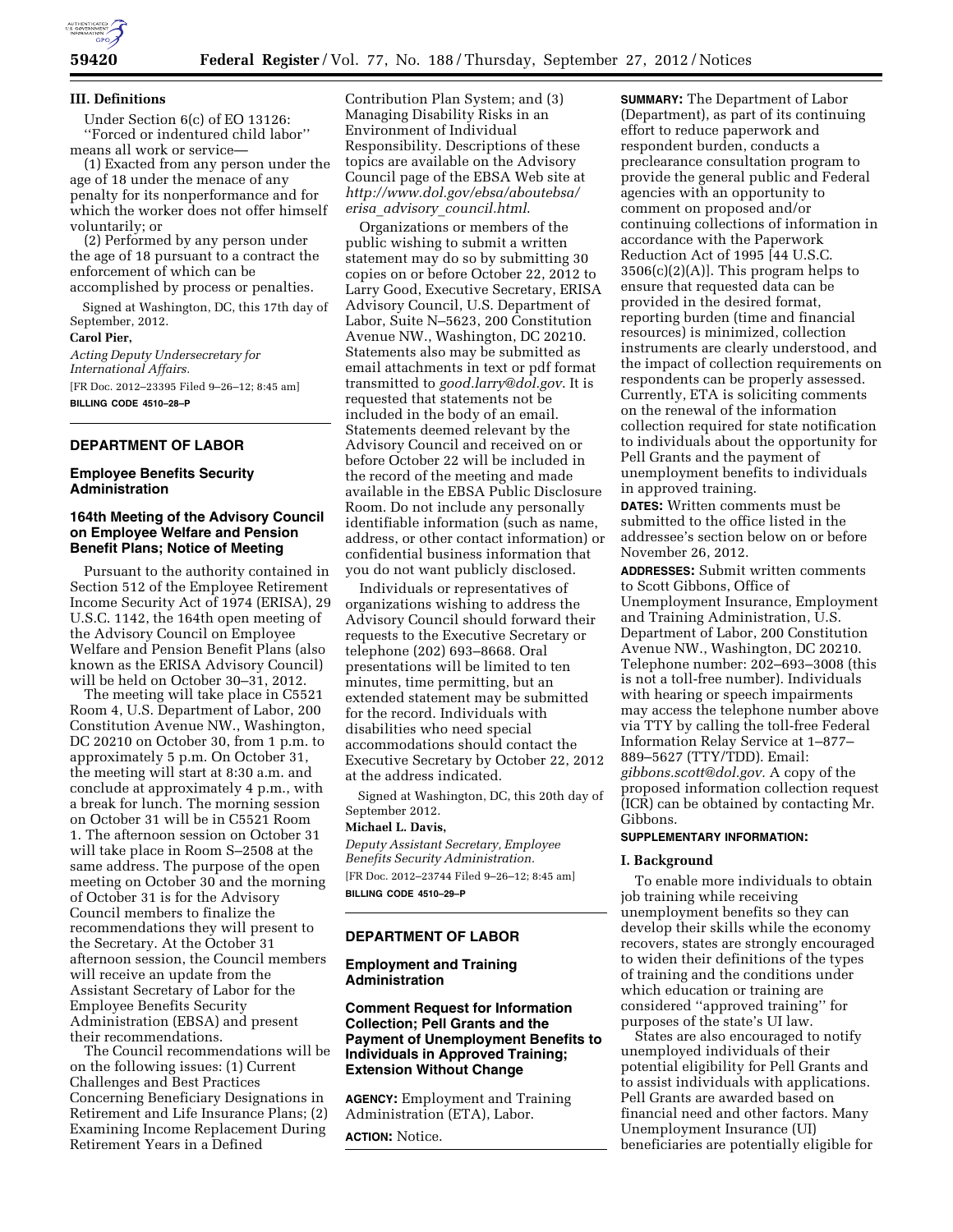

#### **III. Definitions**

Under Section 6(c) of EO 13126: ''Forced or indentured child labor'' means all work or service—

(1) Exacted from any person under the age of 18 under the menace of any penalty for its nonperformance and for which the worker does not offer himself voluntarily; or

(2) Performed by any person under the age of 18 pursuant to a contract the enforcement of which can be accomplished by process or penalties.

Signed at Washington, DC, this 17th day of September, 2012. **Carol Pier,** 

*Acting Deputy Undersecretary for* 

*International Affairs.*  [FR Doc. 2012–23395 Filed 9–26–12; 8:45 am] **BILLING CODE 4510–28–P** 

# **DEPARTMENT OF LABOR**

## **Employee Benefits Security Administration**

## **164th Meeting of the Advisory Council on Employee Welfare and Pension Benefit Plans; Notice of Meeting**

Pursuant to the authority contained in Section 512 of the Employee Retirement Income Security Act of 1974 (ERISA), 29 U.S.C. 1142, the 164th open meeting of the Advisory Council on Employee Welfare and Pension Benefit Plans (also known as the ERISA Advisory Council) will be held on October 30–31, 2012.

The meeting will take place in C5521 Room 4, U.S. Department of Labor, 200 Constitution Avenue NW., Washington, DC 20210 on October 30, from 1 p.m. to approximately 5 p.m. On October 31, the meeting will start at 8:30 a.m. and conclude at approximately 4 p.m., with a break for lunch. The morning session on October 31 will be in C5521 Room 1. The afternoon session on October 31 will take place in Room S–2508 at the same address. The purpose of the open meeting on October 30 and the morning of October 31 is for the Advisory Council members to finalize the recommendations they will present to the Secretary. At the October 31 afternoon session, the Council members will receive an update from the Assistant Secretary of Labor for the Employee Benefits Security Administration (EBSA) and present their recommendations.

The Council recommendations will be on the following issues: (1) Current Challenges and Best Practices Concerning Beneficiary Designations in Retirement and Life Insurance Plans; (2) Examining Income Replacement During Retirement Years in a Defined

Contribution Plan System; and (3) Managing Disability Risks in an Environment of Individual Responsibility. Descriptions of these topics are available on the Advisory Council page of the EBSA Web site at *[http://www.dol.gov/ebsa/aboutebsa/](http://www.dol.gov/ebsa/aboutebsa/erisa_advisory_council.html)  erisa*\_*advisory*\_*[council.html](http://www.dol.gov/ebsa/aboutebsa/erisa_advisory_council.html)*.

Organizations or members of the public wishing to submit a written statement may do so by submitting 30 copies on or before October 22, 2012 to Larry Good, Executive Secretary, ERISA Advisory Council, U.S. Department of Labor, Suite N–5623, 200 Constitution Avenue NW., Washington, DC 20210. Statements also may be submitted as email attachments in text or pdf format transmitted to *[good.larry@dol.gov](mailto:good.larry@dol.gov)*. It is requested that statements not be included in the body of an email. Statements deemed relevant by the Advisory Council and received on or before October 22 will be included in the record of the meeting and made available in the EBSA Public Disclosure Room. Do not include any personally identifiable information (such as name, address, or other contact information) or confidential business information that you do not want publicly disclosed.

Individuals or representatives of organizations wishing to address the Advisory Council should forward their requests to the Executive Secretary or telephone (202) 693–8668. Oral presentations will be limited to ten minutes, time permitting, but an extended statement may be submitted for the record. Individuals with disabilities who need special accommodations should contact the Executive Secretary by October 22, 2012 at the address indicated.

Signed at Washington, DC, this 20th day of September 2012.

#### **Michael L. Davis,**

*Deputy Assistant Secretary, Employee Benefits Security Administration.*  [FR Doc. 2012–23744 Filed 9–26–12; 8:45 am] **BILLING CODE 4510–29–P** 

# **DEPARTMENT OF LABOR**

## **Employment and Training Administration**

**Comment Request for Information Collection; Pell Grants and the Payment of Unemployment Benefits to Individuals in Approved Training; Extension Without Change** 

**AGENCY:** Employment and Training Administration (ETA), Labor.

**ACTION:** Notice.

**SUMMARY:** The Department of Labor (Department), as part of its continuing effort to reduce paperwork and respondent burden, conducts a preclearance consultation program to provide the general public and Federal agencies with an opportunity to comment on proposed and/or continuing collections of information in accordance with the Paperwork Reduction Act of 1995 [44 U.S.C.  $3506(c)(2)(A)$ . This program helps to ensure that requested data can be provided in the desired format, reporting burden (time and financial resources) is minimized, collection instruments are clearly understood, and the impact of collection requirements on respondents can be properly assessed. Currently, ETA is soliciting comments on the renewal of the information collection required for state notification to individuals about the opportunity for Pell Grants and the payment of unemployment benefits to individuals in approved training.

**DATES:** Written comments must be submitted to the office listed in the addressee's section below on or before November 26, 2012.

**ADDRESSES:** Submit written comments to Scott Gibbons, Office of Unemployment Insurance, Employment and Training Administration, U.S. Department of Labor, 200 Constitution Avenue NW., Washington, DC 20210. Telephone number: 202–693–3008 (this is not a toll-free number). Individuals with hearing or speech impairments may access the telephone number above via TTY by calling the toll-free Federal Information Relay Service at 1–877– 889–5627 (TTY/TDD). Email: *[gibbons.scott@dol.gov.](mailto:gibbons.scott@dol.gov)* A copy of the proposed information collection request (ICR) can be obtained by contacting Mr. Gibbons.

# **SUPPLEMENTARY INFORMATION:**

#### **I. Background**

To enable more individuals to obtain job training while receiving unemployment benefits so they can develop their skills while the economy recovers, states are strongly encouraged to widen their definitions of the types of training and the conditions under which education or training are considered ''approved training'' for purposes of the state's UI law.

States are also encouraged to notify unemployed individuals of their potential eligibility for Pell Grants and to assist individuals with applications. Pell Grants are awarded based on financial need and other factors. Many Unemployment Insurance (UI) beneficiaries are potentially eligible for